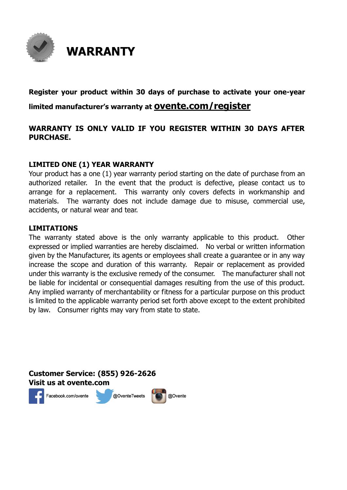

#### **Register your product within 30 days of purchase to activate your one-year limited manufacturer's warranty at ovente.com/register**

#### **WARRANTY IS ONLY VALID IF YOU REGISTER WITHIN 30 DAYS AFTER PURCHASE.**

#### **LIMITED ONE (1) YEAR WARRANTY**

Your product has a one (1) year warranty period starting on the date of purchase from an authorized retailer. In the event that the product is defective, please contact us to arrange for a replacement. This warranty only covers defects in workmanship and materials. The warranty does not include damage due to misuse, commercial use, accidents, or natural wear and tear.

#### **LIMITATIONS**

The warranty stated above is the only warranty applicable to this product. Other expressed or implied warranties are hereby disclaimed. No verbal or written information given by the Manufacturer, its agents or employees shall create a guarantee or in any way increase the scope and duration of this warranty. Repair or replacement as provided under this warranty is the exclusive remedy of the consumer. The manufacturer shall not be liable for incidental or consequential damages resulting from the use of this product. Any implied warranty of merchantability or fitness for a particular purpose on this product is limited to the applicable warranty period set forth above except to the extent prohibited by law. Consumer rights may vary from state to state.

**Customer Service: (855) 926-2626 Visit us at ovente.com**Facebook.com/ovente





@Ovente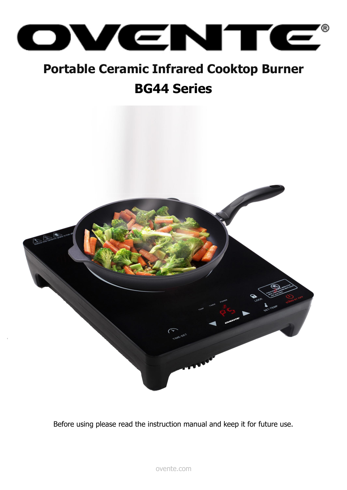

## **Portable Ceramic Infrared Cooktop Burner BG44 Series**



Before using please read the instruction manual and keep it for future use.

ovente.com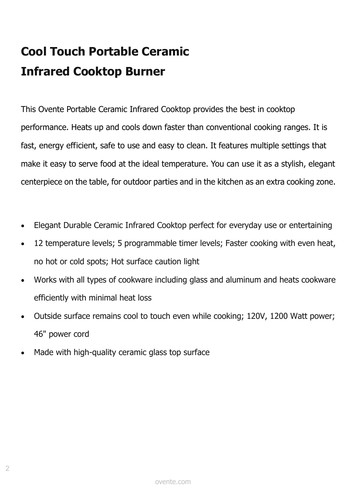# **Cool Touch Portable Ceramic Infrared Cooktop Burner**

This Ovente Portable Ceramic Infrared Cooktop provides the best in cooktop performance. Heats up and cools down faster than conventional cooking ranges. It is fast, energy efficient, safe to use and easy to clean. It features multiple settings that make it easy to serve food at the ideal temperature. You can use it as a stylish, elegant centerpiece on the table, for outdoor parties and in the kitchen as an extra cooking zone.

- Elegant Durable Ceramic Infrared Cooktop perfect for everyday use or entertaining
- 12 temperature levels; 5 programmable timer levels; Faster cooking with even heat, no hot or cold spots; Hot surface caution light
- Works with all types of cookware including glass and aluminum and heats cookware efficiently with minimal heat loss
- Outside surface remains cool to touch even while cooking; 120V, 1200 Watt power; 46" power cord
- Made with high-quality ceramic glass top surface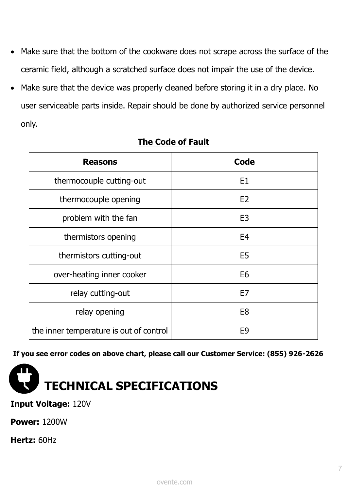- Make sure that the bottom of the cookware does not scrape across the surface of the ceramic field, although a scratched surface does not impair the use of the device.
- Make sure that the device was properly cleaned before storing it in a dry place. No user serviceable parts inside. Repair should be done by authorized service personnel only.

| <b>Reasons</b>                          | Code           |
|-----------------------------------------|----------------|
| thermocouple cutting-out                | E1             |
| thermocouple opening                    | E <sub>2</sub> |
| problem with the fan                    | E <sub>3</sub> |
| thermistors opening                     | E <sub>4</sub> |
| thermistors cutting-out                 | E <sub>5</sub> |
| over-heating inner cooker               | E <sub>6</sub> |
| relay cutting-out                       | E7             |
| relay opening                           | E <sub>8</sub> |
| the inner temperature is out of control | E <sub>9</sub> |

#### **The Code of Fault**

**If you see error codes on above chart, please call our Customer Service: (855) 926-2626**



#### **Input Voltage:** 120V

**Power:** 1200W

**Hertz:** 60Hz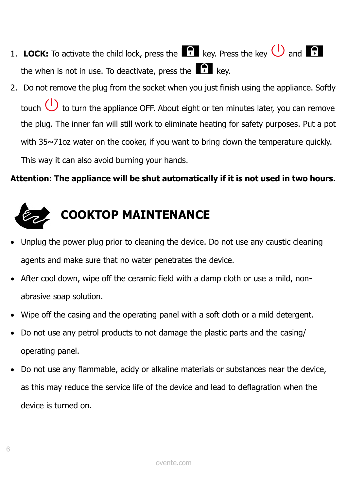- 1. **LOCK:** To activate the child lock, press the  $\blacksquare$  key. Press the key  $\bigcup$  and  $\blacksquare$ the when is not in use. To deactivate, press the  $\bigcap_{k=1}^{\infty}$  kev.
- 2. Do not remove the plug from the socket when you just finish using the appliance. Softly touch  $\bigcup$  to turn the appliance OFF. About eight or ten minutes later, you can remove the plug. The inner fan will still work to eliminate heating for safety purposes. Put a pot with 35~71oz water on the cooker, if you want to bring down the temperature quickly. This way it can also avoid burning your hands.

#### **Attention: The appliance will be shut automatically if it is not used in two hours.**



- Unplug the power plug prior to cleaning the device. Do not use any caustic cleaning agents and make sure that no water penetrates the device.
- After cool down, wipe off the ceramic field with a damp cloth or use a mild, nonabrasive soap solution.
- Wipe off the casing and the operating panel with a soft cloth or a mild detergent.
- Do not use any petrol products to not damage the plastic parts and the casing/ operating panel.
- Do not use any flammable, acidy or alkaline materials or substances near the device, as this may reduce the service life of the device and lead to deflagration when the device is turned on.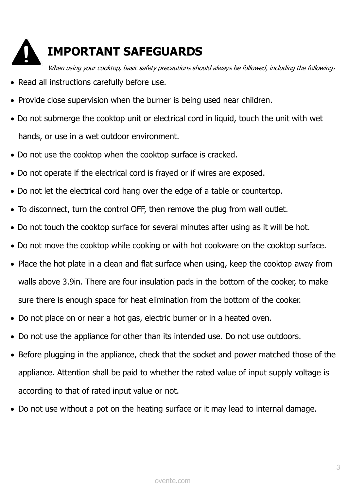

### **IMPORTANT SAFEGUARDS**

When using your cooktop, basic safety precautions should always be followed, including the following:

- Read all instructions carefully before use.
- Provide close supervision when the burner is being used near children.
- Do not submerge the cooktop unit or electrical cord in liquid, touch the unit with wet hands, or use in a wet outdoor environment.
- Do not use the cooktop when the cooktop surface is cracked.
- Do not operate if the electrical cord is frayed or if wires are exposed.
- Do not let the electrical cord hang over the edge of a table or countertop.
- To disconnect, turn the control OFF, then remove the plug from wall outlet.
- Do not touch the cooktop surface for several minutes after using as it will be hot.
- Do not move the cooktop while cooking or with hot cookware on the cooktop surface.
- Place the hot plate in a clean and flat surface when using, keep the cooktop away from walls above 3.9in. There are four insulation pads in the bottom of the cooker, to make sure there is enough space for heat elimination from the bottom of the cooker.
- Do not place on or near a hot gas, electric burner or in a heated oven.
- Do not use the appliance for other than its intended use. Do not use outdoors.
- Before plugging in the appliance, check that the socket and power matched those of the appliance. Attention shall be paid to whether the rated value of input supply voltage is according to that of rated input value or not.
- Do not use without a pot on the heating surface or it may lead to internal damage.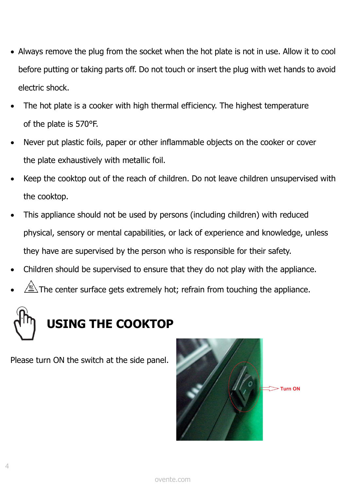- Always remove the plug from the socket when the hot plate is not in use. Allow it to cool before putting or taking parts off. Do not touch or insert the plug with wet hands to avoid electric shock.
- The hot plate is a cooker with high thermal efficiency. The highest temperature of the plate is 570°F.
- Never put plastic foils, paper or other inflammable objects on the cooker or cover the plate exhaustively with metallic foil.
- Keep the cooktop out of the reach of children. Do not leave children unsupervised with the cooktop.
- This appliance should not be used by persons (including children) with reduced physical, sensory or mental capabilities, or lack of experience and knowledge, unless they have are supervised by the person who is responsible for their safety.
- Children should be supervised to ensure that they do not play with the appliance.
- $\overline{\!\!\!\!\triangle\!\!\!\triangle}$  The center surface gets extremely hot; refrain from touching the appliance.

# **USING THE COOKTOP**

Please turn ON the switch at the side panel.